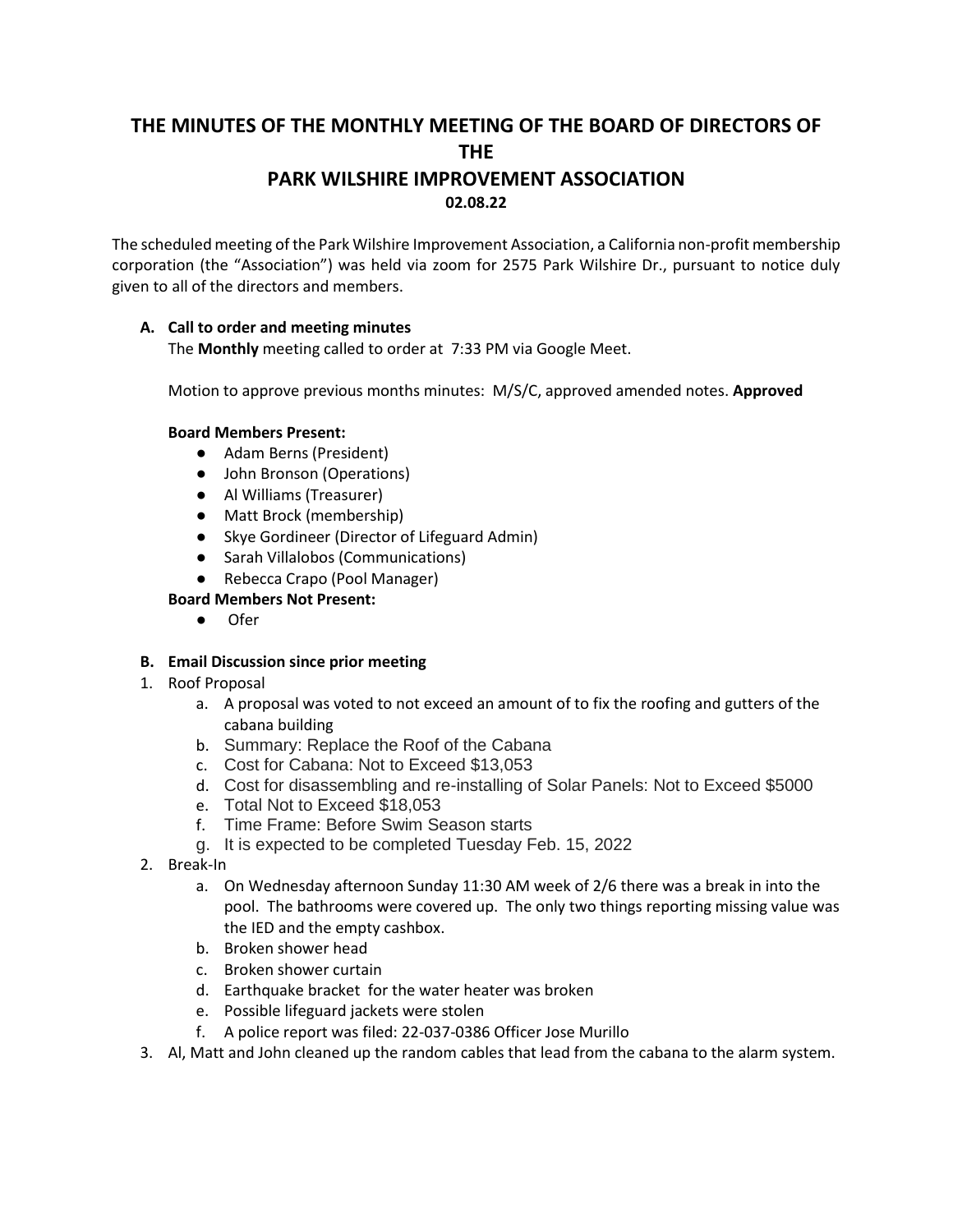# **THE MINUTES OF THE MONTHLY MEETING OF THE BOARD OF DIRECTORS OF THE PARK WILSHIRE IMPROVEMENT ASSOCIATION 02.08.22**

The scheduled meeting of the Park Wilshire Improvement Association, a California non-profit membership corporation (the "Association") was held via zoom for 2575 Park Wilshire Dr., pursuant to notice duly given to all of the directors and members.

## **A. Call to order and meeting minutes**

The **Monthly** meeting called to order at 7:33 PM via Google Meet.

Motion to approve previous months minutes: M/S/C, approved amended notes. **Approved**

## **Board Members Present:**

- Adam Berns (President)
- John Bronson (Operations)
- Al Williams (Treasurer)
- Matt Brock (membership)
- Skye Gordineer (Director of Lifeguard Admin)
- Sarah Villalobos (Communications)
- Rebecca Crapo (Pool Manager)

## **Board Members Not Present:**

● Ofer

## **B. Email Discussion since prior meeting**

- 1. Roof Proposal
	- a. A proposal was voted to not exceed an amount of to fix the roofing and gutters of the cabana building
	- b. Summary: Replace the Roof of the Cabana
	- c. Cost for Cabana: Not to Exceed \$13,053
	- d. Cost for disassembling and re-installing of Solar Panels: Not to Exceed \$5000
	- e. Total Not to Exceed \$18,053
	- f. Time Frame: Before Swim Season starts
	- g. It is expected to be completed Tuesday Feb. 15, 2022
- 2. Break-In
	- a. On Wednesday afternoon Sunday 11:30 AM week of 2/6 there was a break in into the pool. The bathrooms were covered up. The only two things reporting missing value was the IED and the empty cashbox.
	- b. Broken shower head
	- c. Broken shower curtain
	- d. Earthquake bracket for the water heater was broken
	- e. Possible lifeguard jackets were stolen
	- f. A police report was filed: 22-037-0386 Officer Jose Murillo
- 3. Al, Matt and John cleaned up the random cables that lead from the cabana to the alarm system.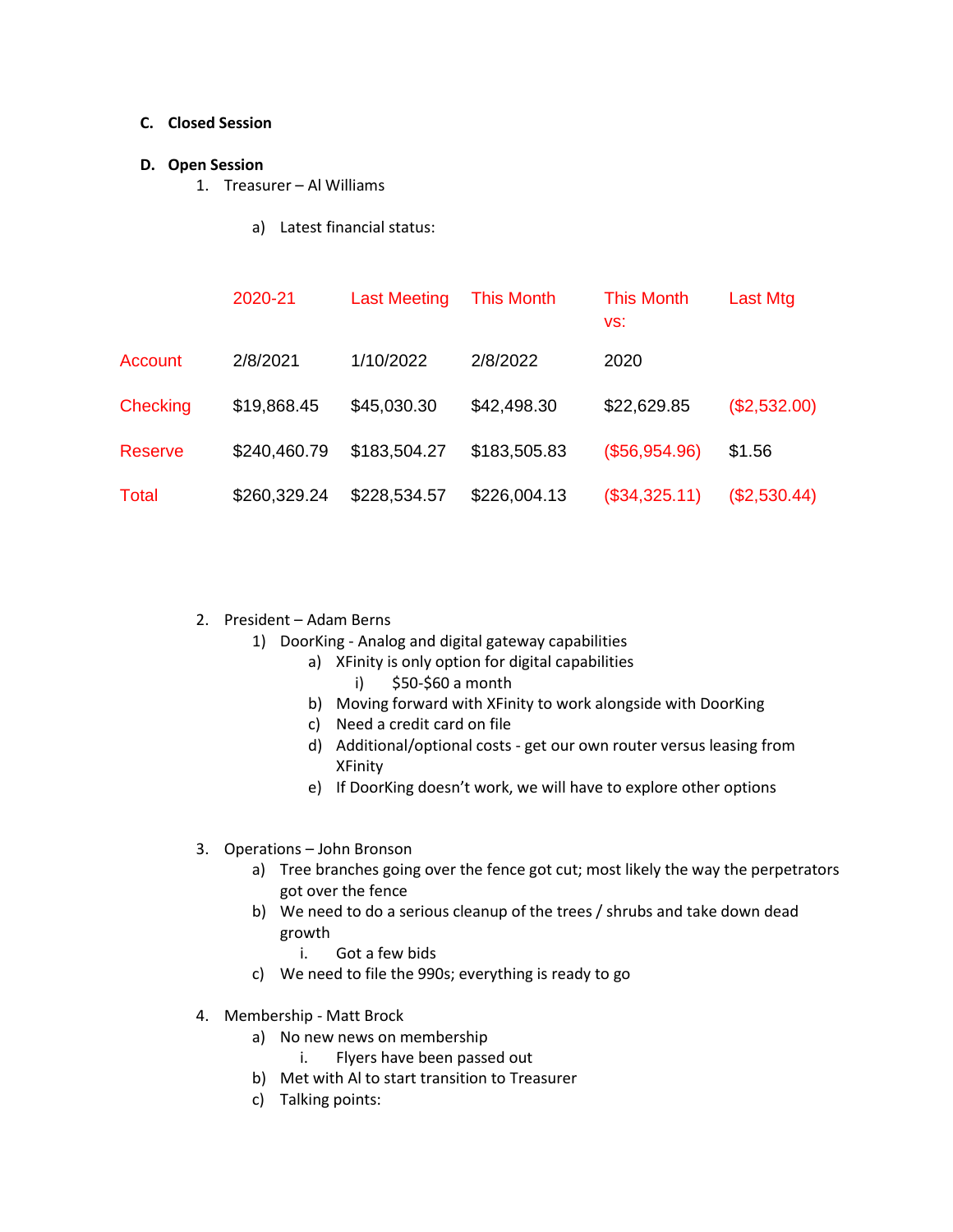#### **C. Closed Session**

#### **D. Open Session**

- 1. Treasurer Al Williams
	- a) Latest financial status:

|                 | 2020-21      | <b>Last Meeting</b> | <b>This Month</b> | <b>This Month</b><br>VS: | Last Mtg     |
|-----------------|--------------|---------------------|-------------------|--------------------------|--------------|
| Account         | 2/8/2021     | 1/10/2022           | 2/8/2022          | 2020                     |              |
| <b>Checking</b> | \$19,868.45  | \$45,030.30         | \$42,498.30       | \$22,629.85              | (\$2,532.00) |
| <b>Reserve</b>  | \$240,460.79 | \$183,504.27        | \$183,505.83      | (\$56,954.96)            | \$1.56       |
| <b>Total</b>    | \$260,329.24 | \$228,534.57        | \$226,004.13      | (\$34,325.11)            | (\$2,530.44) |

- 2. President Adam Berns
	- 1) DoorKing Analog and digital gateway capabilities
		- a) XFinity is only option for digital capabilities
			- i) \$50-\$60 a month
		- b) Moving forward with XFinity to work alongside with DoorKing
		- c) Need a credit card on file
		- d) Additional/optional costs get our own router versus leasing from XFinity
		- e) If DoorKing doesn't work, we will have to explore other options
- 3. Operations John Bronson
	- a) Tree branches going over the fence got cut; most likely the way the perpetrators got over the fence
	- b) We need to do a serious cleanup of the trees / shrubs and take down dead growth
		- i. Got a few bids
	- c) We need to file the 990s; everything is ready to go
- 4. Membership Matt Brock
	- a) No new news on membership
		- i. Flyers have been passed out
	- b) Met with Al to start transition to Treasurer
	- c) Talking points: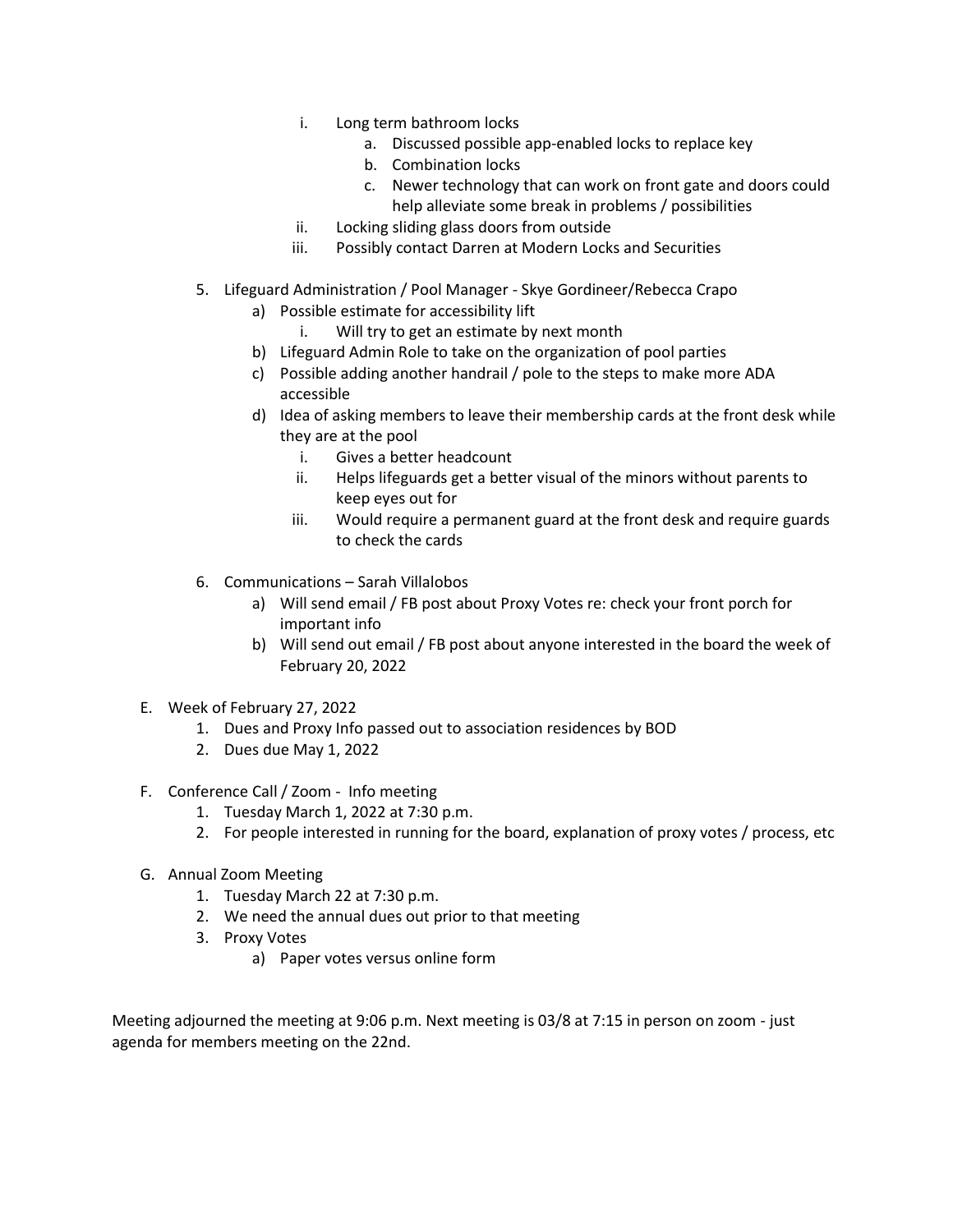- i. Long term bathroom locks
	- a. Discussed possible app-enabled locks to replace key
	- b. Combination locks
	- c. Newer technology that can work on front gate and doors could help alleviate some break in problems / possibilities
- ii. Locking sliding glass doors from outside
- iii. Possibly contact Darren at Modern Locks and Securities
- 5. Lifeguard Administration / Pool Manager Skye Gordineer/Rebecca Crapo
	- a) Possible estimate for accessibility lift
		- i. Will try to get an estimate by next month
	- b) Lifeguard Admin Role to take on the organization of pool parties
	- c) Possible adding another handrail / pole to the steps to make more ADA accessible
	- d) Idea of asking members to leave their membership cards at the front desk while they are at the pool
		- i. Gives a better headcount
		- ii. Helps lifeguards get a better visual of the minors without parents to keep eyes out for
		- iii. Would require a permanent guard at the front desk and require guards to check the cards
- 6. Communications Sarah Villalobos
	- a) Will send email / FB post about Proxy Votes re: check your front porch for important info
	- b) Will send out email / FB post about anyone interested in the board the week of February 20, 2022
- E. Week of February 27, 2022
	- 1. Dues and Proxy Info passed out to association residences by BOD
	- 2. Dues due May 1, 2022
- F. Conference Call / Zoom Info meeting
	- 1. Tuesday March 1, 2022 at 7:30 p.m.
	- 2. For people interested in running for the board, explanation of proxy votes / process, etc
- G. Annual Zoom Meeting
	- 1. Tuesday March 22 at 7:30 p.m.
	- 2. We need the annual dues out prior to that meeting
	- 3. Proxy Votes
		- a) Paper votes versus online form

Meeting adjourned the meeting at 9:06 p.m. Next meeting is 03/8 at 7:15 in person on zoom - just agenda for members meeting on the 22nd.